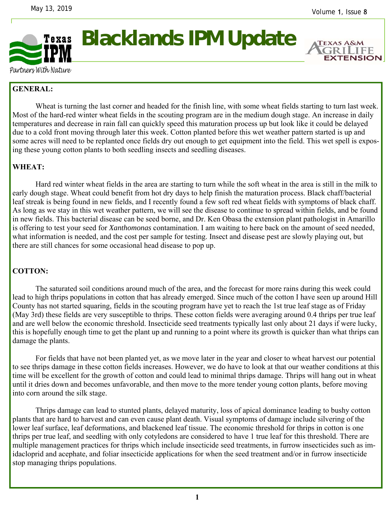

**Blacklands IPM Update** 

**EXTENSION** 

Partners With Nature

## **GENERAL:**

Wheat is turning the last corner and headed for the finish line, with some wheat fields starting to turn last week. Most of the hard-red winter wheat fields in the scouting program are in the medium dough stage. An increase in daily temperatures and decrease in rain fall can quickly speed this maturation process up but look like it could be delayed due to a cold front moving through later this week. Cotton planted before this wet weather pattern started is up and some acres will need to be replanted once fields dry out enough to get equipment into the field. This wet spell is exposing these young cotton plants to both seedling insects and seedling diseases.

## **WHEAT:**

 Hard red winter wheat fields in the area are starting to turn while the soft wheat in the area is still in the milk to early dough stage. Wheat could benefit from hot dry days to help finish the maturation process. Black chaff/bacterial leaf streak is being found in new fields, and I recently found a few soft red wheat fields with symptoms of black chaff. As long as we stay in this wet weather pattern, we will see the disease to continue to spread within fields, and be found in new fields. This bacterial disease can be seed borne, and Dr. Ken Obasa the extension plant pathologist in Amarillo is offering to test your seed for *Xanthomonas* contamination. I am waiting to here back on the amount of seed needed, what information is needed, and the cost per sample for testing. Insect and disease pest are slowly playing out, but there are still chances for some occasional head disease to pop up.

## **COTTON:**

 The saturated soil conditions around much of the area, and the forecast for more rains during this week could lead to high thrips populations in cotton that has already emerged. Since much of the cotton I have seen up around Hill County has not started squaring, fields in the scouting program have yet to reach the 1st true leaf stage as of Friday (May 3rd) these fields are very susceptible to thrips. These cotton fields were averaging around 0.4 thrips per true leaf and are well below the economic threshold. Insecticide seed treatments typically last only about 21 days if were lucky, this is hopefully enough time to get the plant up and running to a point where its growth is quicker than what thrips can damage the plants.

 For fields that have not been planted yet, as we move later in the year and closer to wheat harvest our potential to see thrips damage in these cotton fields increases. However, we do have to look at that our weather conditions at this time will be excellent for the growth of cotton and could lead to minimal thrips damage. Thrips will hang out in wheat until it dries down and becomes unfavorable, and then move to the more tender young cotton plants, before moving into corn around the silk stage.

 Thrips damage can lead to stunted plants, delayed maturity, loss of apical dominance leading to bushy cotton plants that are hard to harvest and can even cause plant death. Visual symptoms of damage include silvering of the lower leaf surface, leaf deformations, and blackened leaf tissue. The economic threshold for thrips in cotton is one thrips per true leaf, and seedling with only cotyledons are considered to have 1 true leaf for this threshold. There are multiple management practices for thrips which include insecticide seed treatments, in furrow insecticides such as imidacloprid and acephate, and foliar insecticide applications for when the seed treatment and/or in furrow insecticide stop managing thrips populations.